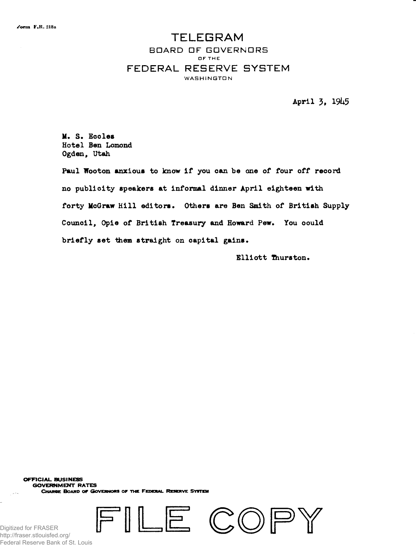## **TELEGRAM** BOARD OF GOVERNORS OF THE FEDERAL RESERVE SYSTEM WASHINGTON

April 3, 1945

M. S. Eccles Hotel Ben Lomond Ogden, Utah

Paul Wooton anxious to know if you can be one of four off record no publicity speakers at informal dinner April eighteen with forty McGraw Hill editors. Others are Ben Smith of British Supply Council, Opie of British Treasury and Howard Pew. You could briefly set them straight on capital gains.

Elliott Thurston.

**OFFICIAL. BUSINESS GOVERNMENT RATES**

**CHARGE BOARD OF GOVERNORS OF THE FEDERAL RESERVE SYSTEM** 





Digitized for FRASER http://fraser.stlouisfed.org/ Federal Reserve Bank of St. Louis